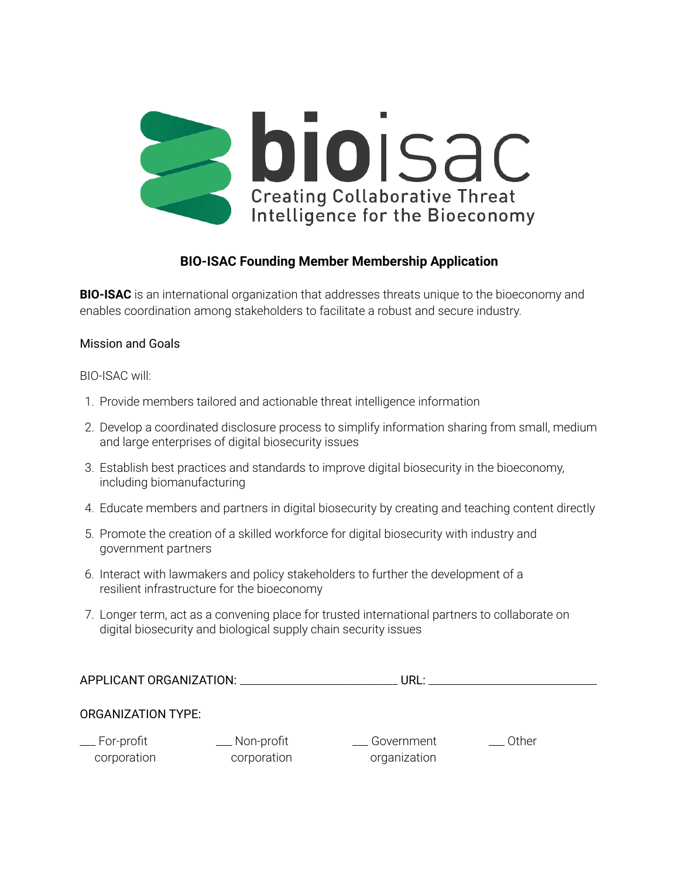

## **BIO-ISAC Founding Member Membership Application**

**BIO-ISAC** is an international organization that addresses threats unique to the bioeconomy and enables coordination among stakeholders to facilitate a robust and secure industry.

## Mission and Goals

BIO-ISAC will:

- 1. Provide members tailored and actionable threat intelligence information
- 2. Develop a coordinated disclosure process to simplify information sharing from small, medium and large enterprises of digital biosecurity issues
- 3. Establish best practices and standards to improve digital biosecurity in the bioeconomy, including biomanufacturing
- 4. Educate members and partners in digital biosecurity by creating and teaching content directly
- 5. Promote the creation of a skilled workforce for digital biosecurity with industry and government partners
- 6. Interact with lawmakers and policy stakeholders to further the development of a resilient infrastructure for the bioeconomy
- 7. Longer term, act as a convening place for trusted international partners to collaborate on digital biosecurity and biological supply chain security issues

| APPLICANT ORGANIZATION:            |                              | URL:                       |       |  |
|------------------------------------|------------------------------|----------------------------|-------|--|
| <b>ORGANIZATION TYPE:</b>          |                              |                            |       |  |
| $\equiv$ For-profit<br>corporation | __ Non-profit<br>corporation | Government<br>organization | Other |  |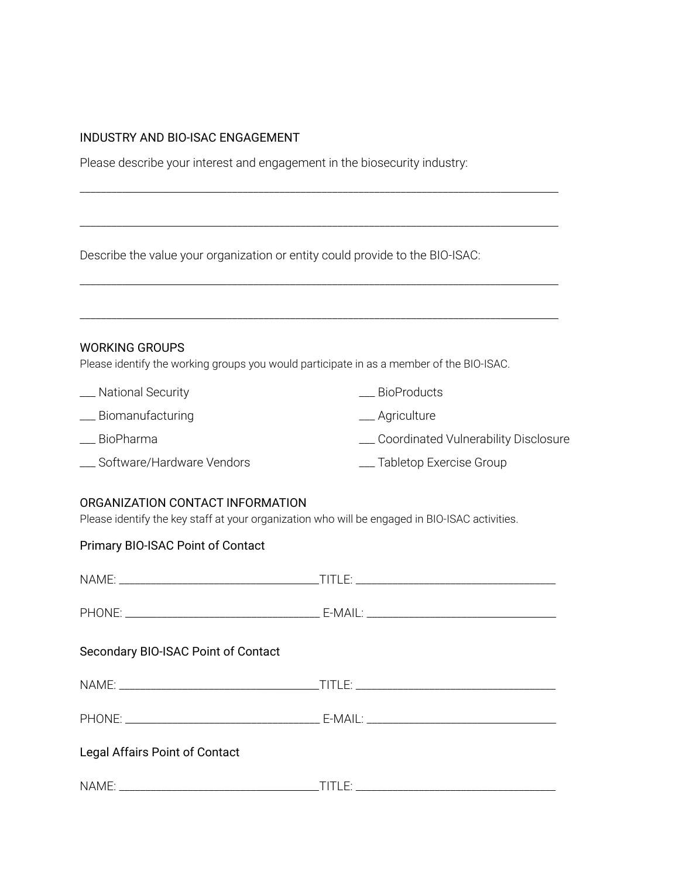## INDUSTRY AND BIO-ISAC ENGAGEMENT

Please describe your interest and engagement in the biosecurity industry:

Describe the value your organization or entity could provide to the BIO-ISAC:

| <b>WORKING GROUPS</b><br>Please identify the working groups you would participate in as a member of the BIO-ISAC. |                                        |  |  |  |
|-------------------------------------------------------------------------------------------------------------------|----------------------------------------|--|--|--|
| __ National Security                                                                                              | <b>BioProducts</b>                     |  |  |  |
| __ Biomanufacturing                                                                                               | __ Agriculture                         |  |  |  |
| __ BioPharma                                                                                                      | _ Coordinated Vulnerability Disclosure |  |  |  |
| __ Software/Hardware Vendors                                                                                      | __ Tabletop Exercise Group             |  |  |  |

\_\_\_\_\_\_\_\_\_\_\_\_\_\_\_\_\_\_\_\_\_\_\_\_\_\_\_\_\_\_\_\_\_\_\_\_\_\_\_\_\_\_\_\_\_\_\_\_\_\_\_\_\_\_\_\_\_\_\_\_\_\_\_\_\_\_\_\_\_\_\_\_\_\_\_\_\_\_\_\_\_\_\_\_\_\_\_\_\_\_\_

\_\_\_\_\_\_\_\_\_\_\_\_\_\_\_\_\_\_\_\_\_\_\_\_\_\_\_\_\_\_\_\_\_\_\_\_\_\_\_\_\_\_\_\_\_\_\_\_\_\_\_\_\_\_\_\_\_\_\_\_\_\_\_\_\_\_\_\_\_\_\_\_\_\_\_\_\_\_\_\_\_\_\_\_\_\_\_\_\_\_\_

\_\_\_\_\_\_\_\_\_\_\_\_\_\_\_\_\_\_\_\_\_\_\_\_\_\_\_\_\_\_\_\_\_\_\_\_\_\_\_\_\_\_\_\_\_\_\_\_\_\_\_\_\_\_\_\_\_\_\_\_\_\_\_\_\_\_\_\_\_\_\_\_\_\_\_\_\_\_\_\_\_\_\_\_\_\_\_\_\_\_\_

## ORGANIZATION CONTACT INFORMATION

Please identify the key staff at your organization who will be engaged in BIO-ISAC activities.

| Primary BIO-ISAC Point of Contact   |  |  |
|-------------------------------------|--|--|
|                                     |  |  |
|                                     |  |  |
| Secondary BIO-ISAC Point of Contact |  |  |
|                                     |  |  |
|                                     |  |  |
| Legal Affairs Point of Contact      |  |  |
|                                     |  |  |